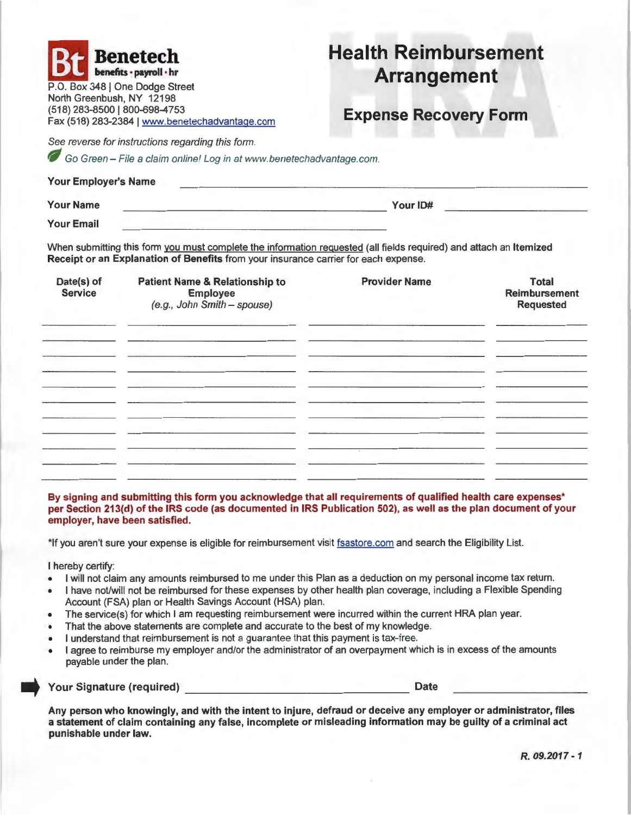| North Greenbush, NY 12198     | <b>Benetech</b><br>benefits · payroll · hr<br>P.O. Box 348   One Dodge Street                                                                                                                                                                                                                            | <b>Health Reimbursement</b><br><b>Arrangement</b>                               |                                                          |  |
|-------------------------------|----------------------------------------------------------------------------------------------------------------------------------------------------------------------------------------------------------------------------------------------------------------------------------------------------------|---------------------------------------------------------------------------------|----------------------------------------------------------|--|
| (518) 283-8500   800-698-4753 | Fax (518) 283-2384   www.benetechadvantage.com                                                                                                                                                                                                                                                           | <b>Expense Recovery Form</b>                                                    |                                                          |  |
|                               | See reverse for instructions regarding this form.<br>Go Green - File a claim online! Log in at www.benetechadvantage.com.                                                                                                                                                                                |                                                                                 |                                                          |  |
| Your Employer's Name          |                                                                                                                                                                                                                                                                                                          | the contract of the contract of the contract of the contract of the contract of |                                                          |  |
| <b>Your Name</b>              |                                                                                                                                                                                                                                                                                                          | Your ID#<br><u> 1980 - Andrea Britain, amerikan bestean ingila (h. 1980).</u>   |                                                          |  |
| <b>Your Email</b>             | the companion of the control of the control of the control of the control of                                                                                                                                                                                                                             |                                                                                 |                                                          |  |
| Date(s) of<br><b>Service</b>  | When submitting this form you must complete the information requested (all fields required) and attach an Itemized<br>Receipt or an Explanation of Benefits from your insurance carrier for each expense.<br><b>Patient Name &amp; Relationship to</b><br><b>Employee</b><br>(e.g., John Smith - spouse) | <b>Provider Name</b>                                                            | <b>Total</b><br><b>Reimbursement</b><br><b>Requested</b> |  |
|                               |                                                                                                                                                                                                                                                                                                          |                                                                                 |                                                          |  |
|                               |                                                                                                                                                                                                                                                                                                          |                                                                                 |                                                          |  |

**By signing and submitting this form you acknowledge that all requirements of qualified health care expenses• per Section 213(d) of the IRS code (as documented in IRS Publication 502), as well as the plan document of your employer, have been satisfied.** 

\*If you aren't sure your expense is eligible for reimbursement vist fsastore.com and search the Eligibility List.

I hereby certify:

- I will not claim any amounts reimbursed to me under this Plan as a deduction on my personal income tax return.
- I have not/will not be reimbursed for these expenses by other health plan coverage, including a Flexible Spending Account (FSA) plan or Health Savings Account (HSA) plan.
- The service(s) for which I am requesting reimbursement were incurred within the current HRA plan year.
- That the above statements are complete and accurate to the best of my knowledge.
- I understand that reimbursement is not a guarantee that this payment is tax-free.
- I agree to reimburse my employer and/or the administrator of an overpayment which is in excess of the amounts payable under the plan.

- **Your Signature (required)** \_ \_\_\_ \_\_\_\_\_\_\_\_\_\_\_\_\_\_ **Date** 

**Any person who knowingly, and with the intent to injure, defraud or deceive any employer or administrator, files a statement of claim containing any false, incomplete or misleading information may be guilty of a criminal act punishable under law.**